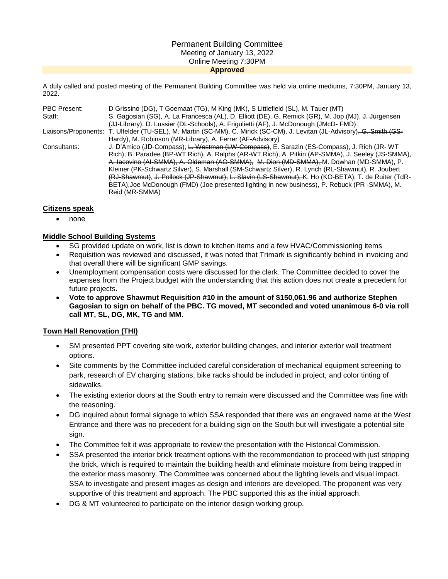#### Permanent Building Committee Meeting of January 13, 2022 Online Meeting 7:30PM **Approved**

A duly called and posted meeting of the Permanent Building Committee was held via online mediums, 7:30PM, January 13, 2022.

| <b>PBC Present:</b> | D Grissino (DG), T Goemaat (TG), M King (MK), S Littlefield (SL), M. Tauer (MT)                                                                                                           |
|---------------------|-------------------------------------------------------------------------------------------------------------------------------------------------------------------------------------------|
| Staff:              | S. Gagosian (SG), A. La Francesca (AL), D. Elliott (DE),-G. Remick (GR), M. Jop (MJ), J. Jurgensen<br>(JJ-Library), D. Lussier (DL-Schools), A. Frigulietti (AF), J. McDonough (JMcD-FMD) |
|                     | Liaisons/Proponents: T. Ulfelder (TU-SEL), M. Martin (SC-MM), C. Mirick (SC-CM), J. Levitan (JL-Advisory) <del>, G. Smith (GS-</del>                                                      |
|                     | Hardy), M. Robinson (MR-Library), A. Ferrer (AF-Advisory)                                                                                                                                 |
| Consultants:        | J. D'Amico (JD-Compass), <del>L. Westman (LW-Compass)</del> , E. Sarazin (ES-Compass), J. Rich (JR-WT                                                                                     |
|                     | Rich), B. Paradee (BP-WT Rich), A. Ralphs (AR-WT Rich), A. Pitkin (AP-SMMA), J. Seeley (JS-SMMA),                                                                                         |
|                     | A. Iacovino (AI-SMMA), A. Oldeman (AO-SMMA), M. Dion (MD-SMMA), M. Dowhan (MD-SMMA), P.                                                                                                   |
|                     | Kleiner (PK-Schwartz Silver), S. Marshall (SM-Schwartz Silver), R. Lynch (RL-Shawmut), R. Joubert                                                                                         |
|                     | (RJ-Shawmut), J. Pollock (JP-Shawmut), L. Slavin (LS-Shawmut), K. Ho (KO-BETA), T. de Ruiter (TdR-                                                                                        |
|                     | BETA), Joe McDonough (FMD) (Joe presented lighting in new business), P. Rebuck (PR -SMMA), M.                                                                                             |
|                     | Reid (MR-SMMA)                                                                                                                                                                            |

### **Citizens speak**

• none

## **Middle School Building Systems**

- SG provided update on work, list is down to kitchen items and a few HVAC/Commissioning items
- Requisition was reviewed and discussed, it was noted that Trimark is significantly behind in invoicing and that overall there will be significant GMP savings.
- Unemployment compensation costs were discussed for the clerk. The Committee decided to cover the expenses from the Project budget with the understanding that this action does not create a precedent for future projects.
- **Vote to approve Shawmut Requisition #10 in the amount of \$150,061.96 and authorize Stephen Gagosian to sign on behalf of the PBC. TG moved, MT seconded and voted unanimous 6-0 via roll call MT, SL, DG, MK, TG and MM.**

## **Town Hall Renovation (THI)**

- SM presented PPT covering site work, exterior building changes, and interior exterior wall treatment options.
- Site comments by the Committee included careful consideration of mechanical equipment screening to park, research of EV charging stations, bike racks should be included in project, and color tinting of sidewalks.
- The existing exterior doors at the South entry to remain were discussed and the Committee was fine with the reasoning.
- DG inquired about formal signage to which SSA responded that there was an engraved name at the West Entrance and there was no precedent for a building sign on the South but will investigate a potential site sign.
- The Committee felt it was appropriate to review the presentation with the Historical Commission.
- SSA presented the interior brick treatment options with the recommendation to proceed with just stripping the brick, which is required to maintain the building health and eliminate moisture from being trapped in the exterior mass masonry. The Committee was concerned about the lighting levels and visual impact. SSA to investigate and present images as design and interiors are developed. The proponent was very supportive of this treatment and approach. The PBC supported this as the initial approach.
- DG & MT volunteered to participate on the interior design working group.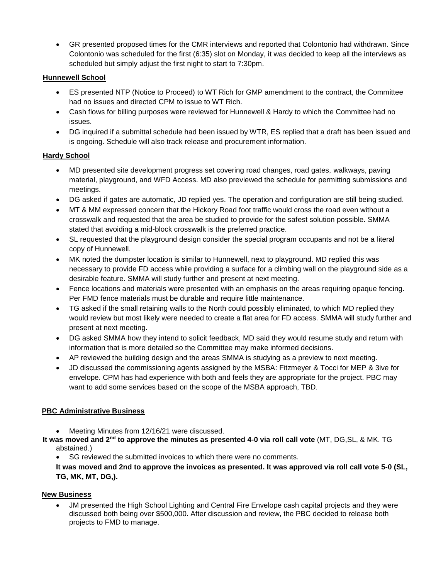GR presented proposed times for the CMR interviews and reported that Colontonio had withdrawn. Since Colontonio was scheduled for the first (6:35) slot on Monday, it was decided to keep all the interviews as scheduled but simply adjust the first night to start to 7:30pm.

# **Hunnewell School**

- ES presented NTP (Notice to Proceed) to WT Rich for GMP amendment to the contract, the Committee had no issues and directed CPM to issue to WT Rich.
- Cash flows for billing purposes were reviewed for Hunnewell & Hardy to which the Committee had no issues.
- DG inquired if a submittal schedule had been issued by WTR, ES replied that a draft has been issued and is ongoing. Schedule will also track release and procurement information.

## **Hardy School**

- MD presented site development progress set covering road changes, road gates, walkways, paving material, playground, and WFD Access. MD also previewed the schedule for permitting submissions and meetings.
- DG asked if gates are automatic, JD replied yes. The operation and configuration are still being studied.
- MT & MM expressed concern that the Hickory Road foot traffic would cross the road even without a crosswalk and requested that the area be studied to provide for the safest solution possible. SMMA stated that avoiding a mid-block crosswalk is the preferred practice.
- SL requested that the playground design consider the special program occupants and not be a literal copy of Hunnewell.
- MK noted the dumpster location is similar to Hunnewell, next to playground. MD replied this was necessary to provide FD access while providing a surface for a climbing wall on the playground side as a desirable feature. SMMA will study further and present at next meeting.
- Fence locations and materials were presented with an emphasis on the areas requiring opaque fencing. Per FMD fence materials must be durable and require little maintenance.
- TG asked if the small retaining walls to the North could possibly eliminated, to which MD replied they would review but most likely were needed to create a flat area for FD access. SMMA will study further and present at next meeting.
- DG asked SMMA how they intend to solicit feedback, MD said they would resume study and return with information that is more detailed so the Committee may make informed decisions.
- AP reviewed the building design and the areas SMMA is studying as a preview to next meeting.
- JD discussed the commissioning agents assigned by the MSBA: Fitzmeyer & Tocci for MEP & 3ive for envelope. CPM has had experience with both and feels they are appropriate for the project. PBC may want to add some services based on the scope of the MSBA approach, TBD.

## **PBC Administrative Business**

- Meeting Minutes from 12/16/21 were discussed.
- **It was moved and 2nd to approve the minutes as presented 4-0 via roll call vote** (MT, DG,SL, & MK. TG abstained.)
	- SG reviewed the submitted invoices to which there were no comments.

**It was moved and 2nd to approve the invoices as presented. It was approved via roll call vote 5-0 (SL, TG, MK, MT, DG,).**

## **New Business**

 JM presented the High School Lighting and Central Fire Envelope cash capital projects and they were discussed both being over \$500,000. After discussion and review, the PBC decided to release both projects to FMD to manage.